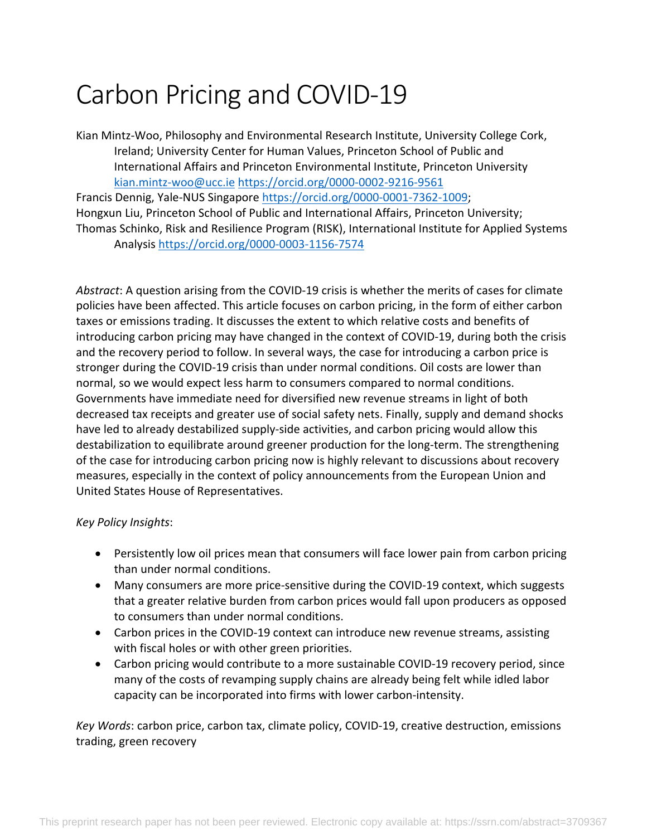# Carbon Pricing and COVID-19

Kian Mintz-Woo, Philosophy and Environmental Research Institute, University College Cork, Ireland; University Center for Human Values, Princeton School of Public and International Affairs and Princeton Environmental Institute, Princeton University kian.mintz-woo@ucc.ie https://orcid.org/0000-0002-9216-9561

Francis Dennig, Yale-NUS Singapore https://orcid.org/0000-0001-7362-1009; Hongxun Liu, Princeton School of Public and International Affairs, Princeton University; Thomas Schinko, Risk and Resilience Program (RISK), International Institute for Applied Systems Analysis https://orcid.org/0000-0003-1156-7574

*Abstract*: A question arising from the COVID-19 crisis is whether the merits of cases for climate policies have been affected. This article focuses on carbon pricing, in the form of either carbon taxes or emissions trading. It discusses the extent to which relative costs and benefits of introducing carbon pricing may have changed in the context of COVID-19, during both the crisis and the recovery period to follow. In several ways, the case for introducing a carbon price is stronger during the COVID-19 crisis than under normal conditions. Oil costs are lower than normal, so we would expect less harm to consumers compared to normal conditions. Governments have immediate need for diversified new revenue streams in light of both decreased tax receipts and greater use of social safety nets. Finally, supply and demand shocks have led to already destabilized supply-side activities, and carbon pricing would allow this destabilization to equilibrate around greener production for the long-term. The strengthening of the case for introducing carbon pricing now is highly relevant to discussions about recovery measures, especially in the context of policy announcements from the European Union and United States House of Representatives.

#### *Key Policy Insights*:

- Persistently low oil prices mean that consumers will face lower pain from carbon pricing than under normal conditions.
- Many consumers are more price-sensitive during the COVID-19 context, which suggests that a greater relative burden from carbon prices would fall upon producers as opposed to consumers than under normal conditions.
- Carbon prices in the COVID-19 context can introduce new revenue streams, assisting with fiscal holes or with other green priorities.
- Carbon pricing would contribute to a more sustainable COVID-19 recovery period, since many of the costs of revamping supply chains are already being felt while idled labor capacity can be incorporated into firms with lower carbon-intensity.

*Key Words*: carbon price, carbon tax, climate policy, COVID-19, creative destruction, emissions trading, green recovery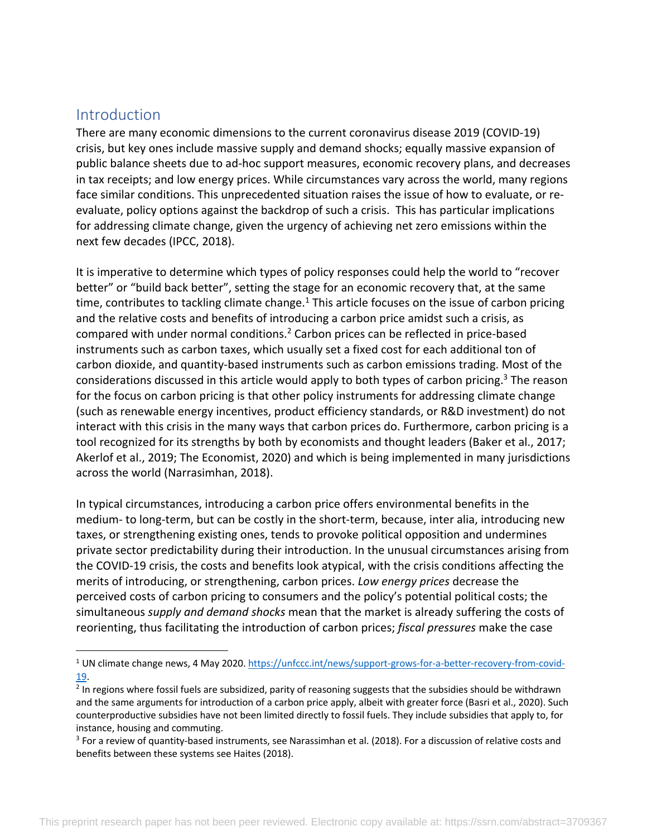### Introduction

There are many economic dimensions to the current coronavirus disease 2019 (COVID-19) crisis, but key ones include massive supply and demand shocks; equally massive expansion of public balance sheets due to ad-hoc support measures, economic recovery plans, and decreases in tax receipts; and low energy prices. While circumstances vary across the world, many regions face similar conditions. This unprecedented situation raises the issue of how to evaluate, or reevaluate, policy options against the backdrop of such a crisis. This has particular implications for addressing climate change, given the urgency of achieving net zero emissions within the next few decades (IPCC, 2018).

It is imperative to determine which types of policy responses could help the world to "recover better" or "build back better", setting the stage for an economic recovery that, at the same time, contributes to tackling climate change.<sup>1</sup> This article focuses on the issue of carbon pricing and the relative costs and benefits of introducing a carbon price amidst such a crisis, as compared with under normal conditions.2 Carbon prices can be reflected in price-based instruments such as carbon taxes, which usually set a fixed cost for each additional ton of carbon dioxide, and quantity-based instruments such as carbon emissions trading. Most of the considerations discussed in this article would apply to both types of carbon pricing.<sup>3</sup> The reason for the focus on carbon pricing is that other policy instruments for addressing climate change (such as renewable energy incentives, product efficiency standards, or R&D investment) do not interact with this crisis in the many ways that carbon prices do. Furthermore, carbon pricing is a tool recognized for its strengths by both by economists and thought leaders (Baker et al., 2017; Akerlof et al., 2019; The Economist, 2020) and which is being implemented in many jurisdictions across the world (Narrasimhan, 2018).

In typical circumstances, introducing a carbon price offers environmental benefits in the medium- to long-term, but can be costly in the short-term, because, inter alia, introducing new taxes, or strengthening existing ones, tends to provoke political opposition and undermines private sector predictability during their introduction. In the unusual circumstances arising from the COVID-19 crisis, the costs and benefits look atypical, with the crisis conditions affecting the merits of introducing, or strengthening, carbon prices. *Low energy prices* decrease the perceived costs of carbon pricing to consumers and the policy's potential political costs; the simultaneous *supply and demand shocks* mean that the market is already suffering the costs of reorienting, thus facilitating the introduction of carbon prices; *fiscal pressures* make the case

<sup>1</sup> UN climate change news, 4 May 2020. https://unfccc.int/news/support-grows-for-a-better-recovery-from-covid-19.

<sup>&</sup>lt;sup>2</sup> In regions where fossil fuels are subsidized, parity of reasoning suggests that the subsidies should be withdrawn and the same arguments for introduction of a carbon price apply, albeit with greater force (Basri et al., 2020). Such counterproductive subsidies have not been limited directly to fossil fuels. They include subsidies that apply to, for instance, housing and commuting.

<sup>&</sup>lt;sup>3</sup> For a review of quantity-based instruments, see Narassimhan et al. (2018). For a discussion of relative costs and benefits between these systems see Haites (2018).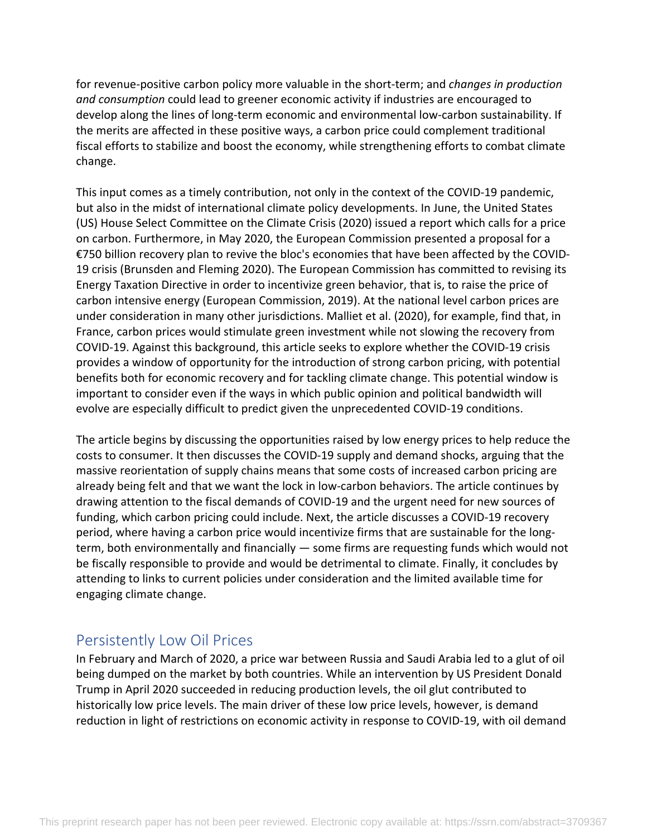for revenue-positive carbon policy more valuable in the short-term; and *changes in production and consumption* could lead to greener economic activity if industries are encouraged to develop along the lines of long-term economic and environmental low-carbon sustainability. If the merits are affected in these positive ways, a carbon price could complement traditional fiscal efforts to stabilize and boost the economy, while strengthening efforts to combat climate change.

This input comes as a timely contribution, not only in the context of the COVID-19 pandemic, but also in the midst of international climate policy developments. In June, the United States (US) House Select Committee on the Climate Crisis (2020) issued a report which calls for a price on carbon. Furthermore, in May 2020, the European Commission presented a proposal for a €750 billion recovery plan to revive the bloc's economies that have been affected by the COVID-19 crisis (Brunsden and Fleming 2020). The European Commission has committed to revising its Energy Taxation Directive in order to incentivize green behavior, that is, to raise the price of carbon intensive energy (European Commission, 2019). At the national level carbon prices are under consideration in many other jurisdictions. Malliet et al. (2020), for example, find that, in France, carbon prices would stimulate green investment while not slowing the recovery from COVID-19. Against this background, this article seeks to explore whether the COVID-19 crisis provides a window of opportunity for the introduction of strong carbon pricing, with potential benefits both for economic recovery and for tackling climate change. This potential window is important to consider even if the ways in which public opinion and political bandwidth will evolve are especially difficult to predict given the unprecedented COVID-19 conditions.

The article begins by discussing the opportunities raised by low energy prices to help reduce the costs to consumer. It then discusses the COVID-19 supply and demand shocks, arguing that the massive reorientation of supply chains means that some costs of increased carbon pricing are already being felt and that we want the lock in low-carbon behaviors. The article continues by drawing attention to the fiscal demands of COVID-19 and the urgent need for new sources of funding, which carbon pricing could include. Next, the article discusses a COVID-19 recovery period, where having a carbon price would incentivize firms that are sustainable for the longterm, both environmentally and financially — some firms are requesting funds which would not be fiscally responsible to provide and would be detrimental to climate. Finally, it concludes by attending to links to current policies under consideration and the limited available time for engaging climate change.

### Persistently Low Oil Prices

In February and March of 2020, a price war between Russia and Saudi Arabia led to a glut of oil being dumped on the market by both countries. While an intervention by US President Donald Trump in April 2020 succeeded in reducing production levels, the oil glut contributed to historically low price levels. The main driver of these low price levels, however, is demand reduction in light of restrictions on economic activity in response to COVID-19, with oil demand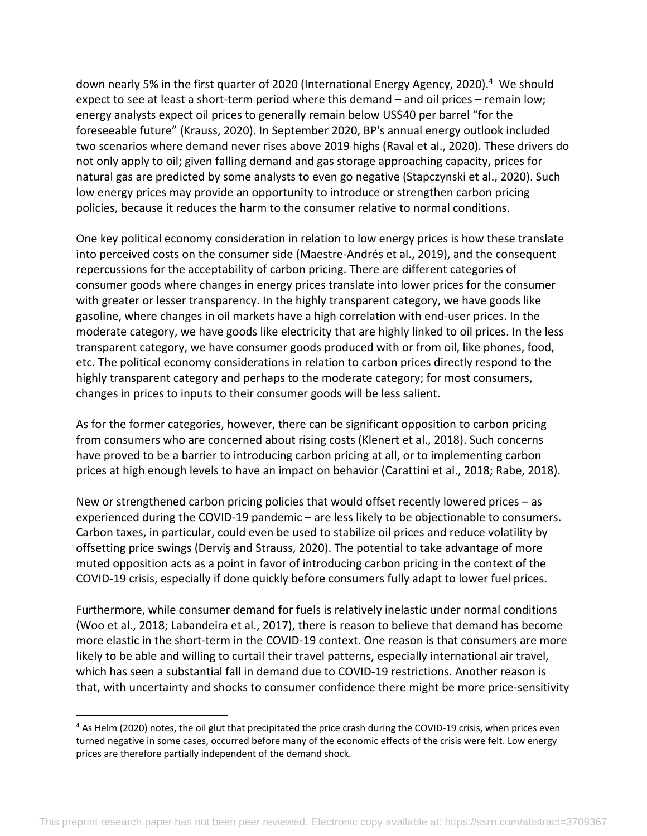down nearly 5% in the first quarter of 2020 (International Energy Agency, 2020). <sup>4</sup> We should expect to see at least a short-term period where this demand – and oil prices – remain low; energy analysts expect oil prices to generally remain below US\$40 per barrel "for the foreseeable future" (Krauss, 2020). In September 2020, BP's annual energy outlook included two scenarios where demand never rises above 2019 highs (Raval et al., 2020). These drivers do not only apply to oil; given falling demand and gas storage approaching capacity, prices for natural gas are predicted by some analysts to even go negative (Stapczynski et al., 2020). Such low energy prices may provide an opportunity to introduce or strengthen carbon pricing policies, because it reduces the harm to the consumer relative to normal conditions.

One key political economy consideration in relation to low energy prices is how these translate into perceived costs on the consumer side (Maestre-Andrés et al., 2019), and the consequent repercussions for the acceptability of carbon pricing. There are different categories of consumer goods where changes in energy prices translate into lower prices for the consumer with greater or lesser transparency. In the highly transparent category, we have goods like gasoline, where changes in oil markets have a high correlation with end-user prices. In the moderate category, we have goods like electricity that are highly linked to oil prices. In the less transparent category, we have consumer goods produced with or from oil, like phones, food, etc. The political economy considerations in relation to carbon prices directly respond to the highly transparent category and perhaps to the moderate category; for most consumers, changes in prices to inputs to their consumer goods will be less salient.

As for the former categories, however, there can be significant opposition to carbon pricing from consumers who are concerned about rising costs (Klenert et al., 2018). Such concerns have proved to be a barrier to introducing carbon pricing at all, or to implementing carbon prices at high enough levels to have an impact on behavior (Carattini et al., 2018; Rabe, 2018).

New or strengthened carbon pricing policies that would offset recently lowered prices – as experienced during the COVID-19 pandemic – are less likely to be objectionable to consumers. Carbon taxes, in particular, could even be used to stabilize oil prices and reduce volatility by offsetting price swings (Derviş and Strauss, 2020). The potential to take advantage of more muted opposition acts as a point in favor of introducing carbon pricing in the context of the COVID-19 crisis, especially if done quickly before consumers fully adapt to lower fuel prices.

Furthermore, while consumer demand for fuels is relatively inelastic under normal conditions (Woo et al., 2018; Labandeira et al., 2017), there is reason to believe that demand has become more elastic in the short-term in the COVID-19 context. One reason is that consumers are more likely to be able and willing to curtail their travel patterns, especially international air travel, which has seen a substantial fall in demand due to COVID-19 restrictions. Another reason is that, with uncertainty and shocks to consumer confidence there might be more price-sensitivity

<sup>&</sup>lt;sup>4</sup> As Helm (2020) notes, the oil glut that precipitated the price crash during the COVID-19 crisis, when prices even turned negative in some cases, occurred before many of the economic effects of the crisis were felt. Low energy prices are therefore partially independent of the demand shock.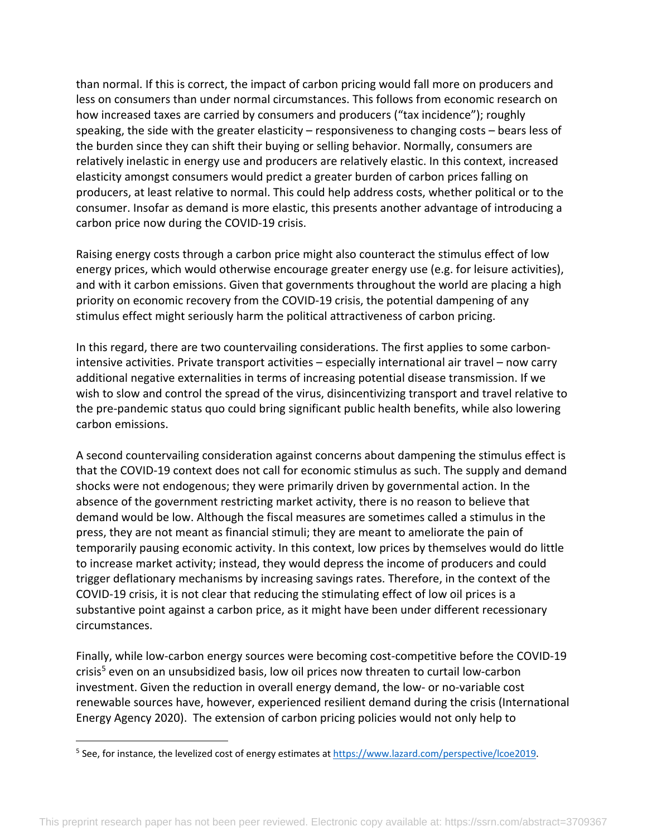than normal. If this is correct, the impact of carbon pricing would fall more on producers and less on consumers than under normal circumstances. This follows from economic research on how increased taxes are carried by consumers and producers ("tax incidence"); roughly speaking, the side with the greater elasticity – responsiveness to changing costs – bears less of the burden since they can shift their buying or selling behavior. Normally, consumers are relatively inelastic in energy use and producers are relatively elastic. In this context, increased elasticity amongst consumers would predict a greater burden of carbon prices falling on producers, at least relative to normal. This could help address costs, whether political or to the consumer. Insofar as demand is more elastic, this presents another advantage of introducing a carbon price now during the COVID-19 crisis.

Raising energy costs through a carbon price might also counteract the stimulus effect of low energy prices, which would otherwise encourage greater energy use (e.g. for leisure activities), and with it carbon emissions. Given that governments throughout the world are placing a high priority on economic recovery from the COVID-19 crisis, the potential dampening of any stimulus effect might seriously harm the political attractiveness of carbon pricing.

In this regard, there are two countervailing considerations. The first applies to some carbonintensive activities. Private transport activities – especially international air travel – now carry additional negative externalities in terms of increasing potential disease transmission. If we wish to slow and control the spread of the virus, disincentivizing transport and travel relative to the pre-pandemic status quo could bring significant public health benefits, while also lowering carbon emissions.

A second countervailing consideration against concerns about dampening the stimulus effect is that the COVID-19 context does not call for economic stimulus as such. The supply and demand shocks were not endogenous; they were primarily driven by governmental action. In the absence of the government restricting market activity, there is no reason to believe that demand would be low. Although the fiscal measures are sometimes called a stimulus in the press, they are not meant as financial stimuli; they are meant to ameliorate the pain of temporarily pausing economic activity. In this context, low prices by themselves would do little to increase market activity; instead, they would depress the income of producers and could trigger deflationary mechanisms by increasing savings rates. Therefore, in the context of the COVID-19 crisis, it is not clear that reducing the stimulating effect of low oil prices is a substantive point against a carbon price, as it might have been under different recessionary circumstances.

Finally, while low-carbon energy sources were becoming cost-competitive before the COVID-19 crisis<sup>5</sup> even on an unsubsidized basis, low oil prices now threaten to curtail low-carbon investment. Given the reduction in overall energy demand, the low- or no-variable cost renewable sources have, however, experienced resilient demand during the crisis (International Energy Agency 2020). The extension of carbon pricing policies would not only help to

<sup>5</sup> See, for instance, the levelized cost of energy estimates at https://www.lazard.com/perspective/lcoe2019.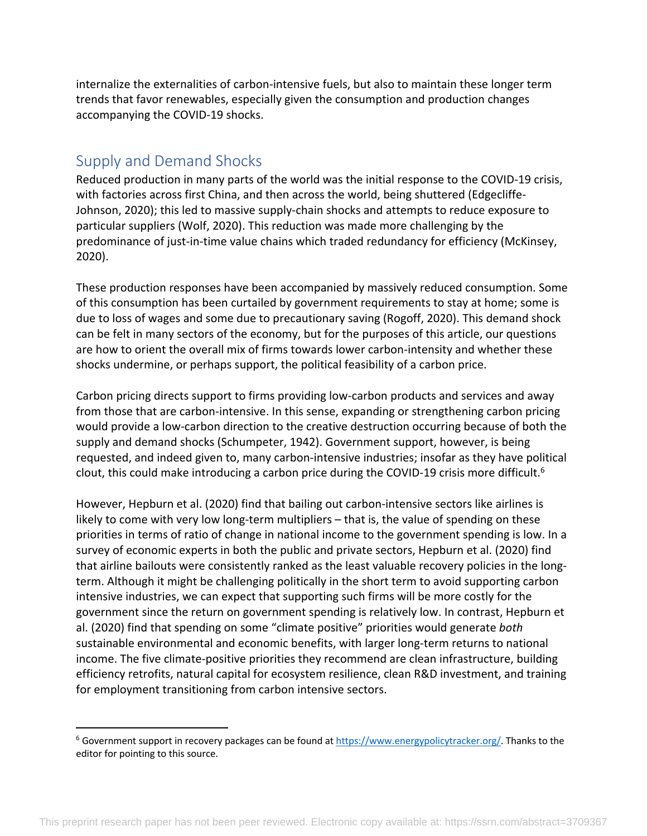internalize the externalities of carbon-intensive fuels, but also to maintain these longer term trends that favor renewables, especially given the consumption and production changes accompanying the COVID-19 shocks.

# Supply and Demand Shocks

Reduced production in many parts of the world was the initial response to the COVID-19 crisis, with factories across first China, and then across the world, being shuttered (Edgecliffe-Johnson, 2020); this led to massive supply-chain shocks and attempts to reduce exposure to particular suppliers (Wolf, 2020). This reduction was made more challenging by the predominance of just-in-time value chains which traded redundancy for efficiency (McKinsey, 2020).

These production responses have been accompanied by massively reduced consumption. Some of this consumption has been curtailed by government requirements to stay at home; some is due to loss of wages and some due to precautionary saving (Rogoff, 2020). This demand shock can be felt in many sectors of the economy, but for the purposes of this article, our questions are how to orient the overall mix of firms towards lower carbon-intensity and whether these shocks undermine, or perhaps support, the political feasibility of a carbon price.

Carbon pricing directs support to firms providing low-carbon products and services and away from those that are carbon-intensive. In this sense, expanding or strengthening carbon pricing would provide a low-carbon direction to the creative destruction occurring because of both the supply and demand shocks (Schumpeter, 1942). Government support, however, is being requested, and indeed given to, many carbon-intensive industries; insofar as they have political clout, this could make introducing a carbon price during the COVID-19 crisis more difficult.<sup>6</sup>

However, Hepburn et al. (2020) find that bailing out carbon-intensive sectors like airlines is likely to come with very low long-term multipliers – that is, the value of spending on these priorities in terms of ratio of change in national income to the government spending is low. In a survey of economic experts in both the public and private sectors, Hepburn et al. (2020) find that airline bailouts were consistently ranked as the least valuable recovery policies in the longterm. Although it might be challenging politically in the short term to avoid supporting carbon intensive industries, we can expect that supporting such firms will be more costly for the government since the return on government spending is relatively low. In contrast, Hepburn et al. (2020) find that spending on some "climate positive" priorities would generate *both* sustainable environmental and economic benefits, with larger long-term returns to national income. The five climate-positive priorities they recommend are clean infrastructure, building efficiency retrofits, natural capital for ecosystem resilience, clean R&D investment, and training for employment transitioning from carbon intensive sectors.

<sup>&</sup>lt;sup>6</sup> Government support in recovery packages can be found at https://www.energypolicytracker.org/. Thanks to the editor for pointing to this source.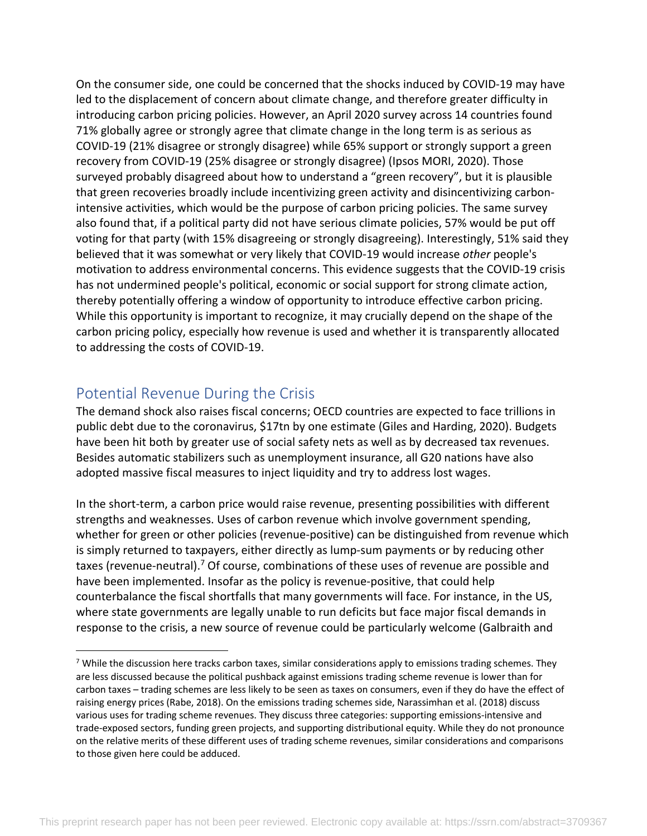On the consumer side, one could be concerned that the shocks induced by COVID-19 may have led to the displacement of concern about climate change, and therefore greater difficulty in introducing carbon pricing policies. However, an April 2020 survey across 14 countries found 71% globally agree or strongly agree that climate change in the long term is as serious as COVID-19 (21% disagree or strongly disagree) while 65% support or strongly support a green recovery from COVID-19 (25% disagree or strongly disagree) (Ipsos MORI, 2020). Those surveyed probably disagreed about how to understand a "green recovery", but it is plausible that green recoveries broadly include incentivizing green activity and disincentivizing carbonintensive activities, which would be the purpose of carbon pricing policies. The same survey also found that, if a political party did not have serious climate policies, 57% would be put off voting for that party (with 15% disagreeing or strongly disagreeing). Interestingly, 51% said they believed that it was somewhat or very likely that COVID-19 would increase *other* people's motivation to address environmental concerns. This evidence suggests that the COVID-19 crisis has not undermined people's political, economic or social support for strong climate action, thereby potentially offering a window of opportunity to introduce effective carbon pricing. While this opportunity is important to recognize, it may crucially depend on the shape of the carbon pricing policy, especially how revenue is used and whether it is transparently allocated to addressing the costs of COVID-19.

# Potential Revenue During the Crisis

The demand shock also raises fiscal concerns; OECD countries are expected to face trillions in public debt due to the coronavirus, \$17tn by one estimate (Giles and Harding, 2020). Budgets have been hit both by greater use of social safety nets as well as by decreased tax revenues. Besides automatic stabilizers such as unemployment insurance, all G20 nations have also adopted massive fiscal measures to inject liquidity and try to address lost wages.

In the short-term, a carbon price would raise revenue, presenting possibilities with different strengths and weaknesses. Uses of carbon revenue which involve government spending, whether for green or other policies (revenue-positive) can be distinguished from revenue which is simply returned to taxpayers, either directly as lump-sum payments or by reducing other taxes (revenue-neutral).<sup>7</sup> Of course, combinations of these uses of revenue are possible and have been implemented. Insofar as the policy is revenue-positive, that could help counterbalance the fiscal shortfalls that many governments will face. For instance, in the US, where state governments are legally unable to run deficits but face major fiscal demands in response to the crisis, a new source of revenue could be particularly welcome (Galbraith and

<sup>&</sup>lt;sup>7</sup> While the discussion here tracks carbon taxes, similar considerations apply to emissions trading schemes. They are less discussed because the political pushback against emissions trading scheme revenue is lower than for carbon taxes – trading schemes are less likely to be seen as taxes on consumers, even if they do have the effect of raising energy prices (Rabe, 2018). On the emissions trading schemes side, Narassimhan et al. (2018) discuss various uses for trading scheme revenues. They discuss three categories: supporting emissions-intensive and trade-exposed sectors, funding green projects, and supporting distributional equity. While they do not pronounce on the relative merits of these different uses of trading scheme revenues, similar considerations and comparisons to those given here could be adduced.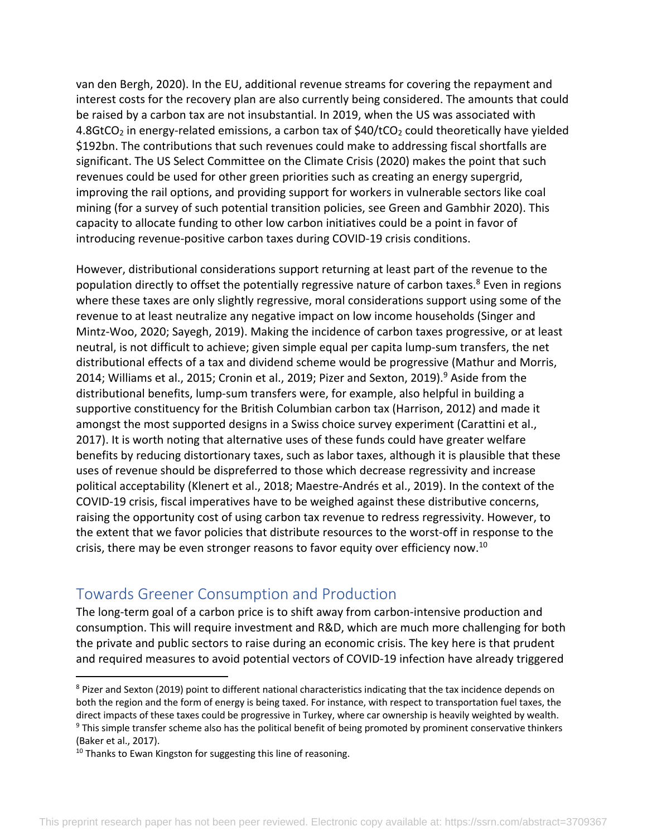van den Bergh, 2020). In the EU, additional revenue streams for covering the repayment and interest costs for the recovery plan are also currently being considered. The amounts that could be raised by a carbon tax are not insubstantial. In 2019, when the US was associated with 4.8GtCO<sub>2</sub> in energy-related emissions, a carbon tax of  $$40/tCO<sub>2</sub>$  could theoretically have yielded \$192bn. The contributions that such revenues could make to addressing fiscal shortfalls are significant. The US Select Committee on the Climate Crisis (2020) makes the point that such revenues could be used for other green priorities such as creating an energy supergrid, improving the rail options, and providing support for workers in vulnerable sectors like coal mining (for a survey of such potential transition policies, see Green and Gambhir 2020). This capacity to allocate funding to other low carbon initiatives could be a point in favor of introducing revenue-positive carbon taxes during COVID-19 crisis conditions.

However, distributional considerations support returning at least part of the revenue to the population directly to offset the potentially regressive nature of carbon taxes.<sup>8</sup> Even in regions where these taxes are only slightly regressive, moral considerations support using some of the revenue to at least neutralize any negative impact on low income households (Singer and Mintz-Woo, 2020; Sayegh, 2019). Making the incidence of carbon taxes progressive, or at least neutral, is not difficult to achieve; given simple equal per capita lump-sum transfers, the net distributional effects of a tax and dividend scheme would be progressive (Mathur and Morris, 2014; Williams et al., 2015; Cronin et al., 2019; Pizer and Sexton, 2019). <sup>9</sup> Aside from the distributional benefits, lump-sum transfers were, for example, also helpful in building a supportive constituency for the British Columbian carbon tax (Harrison, 2012) and made it amongst the most supported designs in a Swiss choice survey experiment (Carattini et al., 2017). It is worth noting that alternative uses of these funds could have greater welfare benefits by reducing distortionary taxes, such as labor taxes, although it is plausible that these uses of revenue should be dispreferred to those which decrease regressivity and increase political acceptability (Klenert et al., 2018; Maestre-Andrés et al., 2019). In the context of the COVID-19 crisis, fiscal imperatives have to be weighed against these distributive concerns, raising the opportunity cost of using carbon tax revenue to redress regressivity. However, to the extent that we favor policies that distribute resources to the worst-off in response to the crisis, there may be even stronger reasons to favor equity over efficiency now.<sup>10</sup>

### Towards Greener Consumption and Production

The long-term goal of a carbon price is to shift away from carbon-intensive production and consumption. This will require investment and R&D, which are much more challenging for both the private and public sectors to raise during an economic crisis. The key here is that prudent and required measures to avoid potential vectors of COVID-19 infection have already triggered

<sup>&</sup>lt;sup>8</sup> Pizer and Sexton (2019) point to different national characteristics indicating that the tax incidence depends on both the region and the form of energy is being taxed. For instance, with respect to transportation fuel taxes, the direct impacts of these taxes could be progressive in Turkey, where car ownership is heavily weighted by wealth. <sup>9</sup> This simple transfer scheme also has the political benefit of being promoted by prominent conservative thinkers (Baker et al., 2017).

 $10$  Thanks to Ewan Kingston for suggesting this line of reasoning.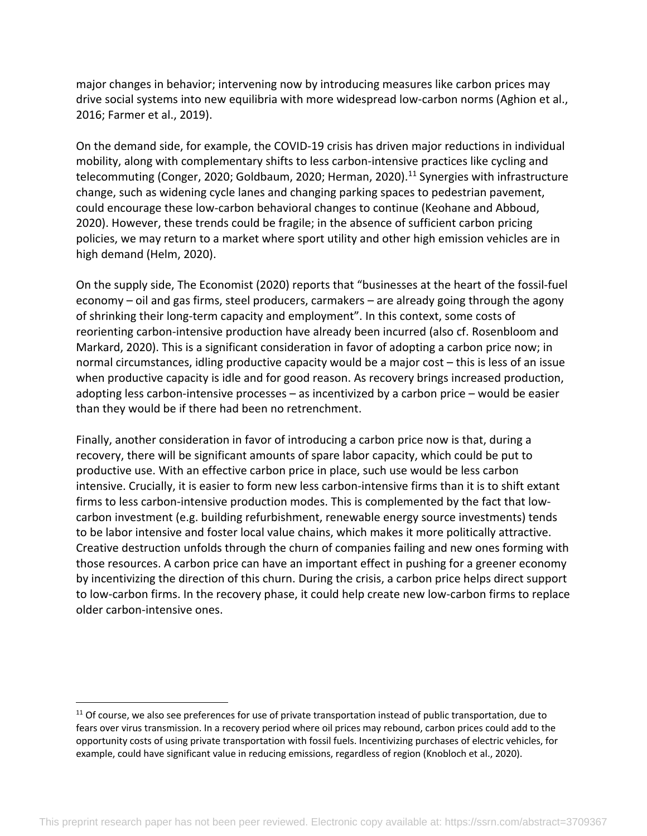major changes in behavior; intervening now by introducing measures like carbon prices may drive social systems into new equilibria with more widespread low-carbon norms (Aghion et al., 2016; Farmer et al., 2019).

On the demand side, for example, the COVID-19 crisis has driven major reductions in individual mobility, along with complementary shifts to less carbon-intensive practices like cycling and telecommuting (Conger, 2020; Goldbaum, 2020; Herman, 2020).<sup>11</sup> Synergies with infrastructure change, such as widening cycle lanes and changing parking spaces to pedestrian pavement, could encourage these low-carbon behavioral changes to continue (Keohane and Abboud, 2020). However, these trends could be fragile; in the absence of sufficient carbon pricing policies, we may return to a market where sport utility and other high emission vehicles are in high demand (Helm, 2020).

On the supply side, The Economist (2020) reports that "businesses at the heart of the fossil-fuel economy – oil and gas firms, steel producers, carmakers – are already going through the agony of shrinking their long-term capacity and employment". In this context, some costs of reorienting carbon-intensive production have already been incurred (also cf. Rosenbloom and Markard, 2020). This is a significant consideration in favor of adopting a carbon price now; in normal circumstances, idling productive capacity would be a major cost – this is less of an issue when productive capacity is idle and for good reason. As recovery brings increased production, adopting less carbon-intensive processes – as incentivized by a carbon price – would be easier than they would be if there had been no retrenchment.

Finally, another consideration in favor of introducing a carbon price now is that, during a recovery, there will be significant amounts of spare labor capacity, which could be put to productive use. With an effective carbon price in place, such use would be less carbon intensive. Crucially, it is easier to form new less carbon-intensive firms than it is to shift extant firms to less carbon-intensive production modes. This is complemented by the fact that lowcarbon investment (e.g. building refurbishment, renewable energy source investments) tends to be labor intensive and foster local value chains, which makes it more politically attractive. Creative destruction unfolds through the churn of companies failing and new ones forming with those resources. A carbon price can have an important effect in pushing for a greener economy by incentivizing the direction of this churn. During the crisis, a carbon price helps direct support to low-carbon firms. In the recovery phase, it could help create new low-carbon firms to replace older carbon-intensive ones.

 $11$  Of course, we also see preferences for use of private transportation instead of public transportation, due to fears over virus transmission. In a recovery period where oil prices may rebound, carbon prices could add to the opportunity costs of using private transportation with fossil fuels. Incentivizing purchases of electric vehicles, for example, could have significant value in reducing emissions, regardless of region (Knobloch et al., 2020).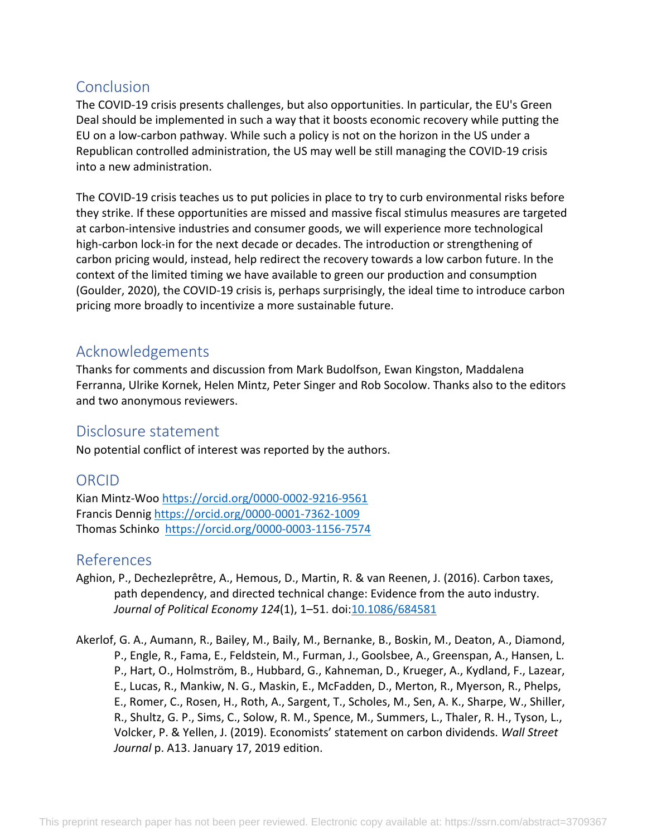# Conclusion

The COVID-19 crisis presents challenges, but also opportunities. In particular, the EU's Green Deal should be implemented in such a way that it boosts economic recovery while putting the EU on a low-carbon pathway. While such a policy is not on the horizon in the US under a Republican controlled administration, the US may well be still managing the COVID-19 crisis into a new administration.

The COVID-19 crisis teaches us to put policies in place to try to curb environmental risks before they strike. If these opportunities are missed and massive fiscal stimulus measures are targeted at carbon-intensive industries and consumer goods, we will experience more technological high-carbon lock-in for the next decade or decades. The introduction or strengthening of carbon pricing would, instead, help redirect the recovery towards a low carbon future. In the context of the limited timing we have available to green our production and consumption (Goulder, 2020), the COVID-19 crisis is, perhaps surprisingly, the ideal time to introduce carbon pricing more broadly to incentivize a more sustainable future.

# Acknowledgements

Thanks for comments and discussion from Mark Budolfson, Ewan Kingston, Maddalena Ferranna, Ulrike Kornek, Helen Mintz, Peter Singer and Rob Socolow. Thanks also to the editors and two anonymous reviewers.

### Disclosure statement

No potential conflict of interest was reported by the authors.

### ORCID

Kian Mintz-Woo https://orcid.org/0000-0002-9216-9561 Francis Dennig https://orcid.org/0000-0001-7362-1009 Thomas Schinko https://orcid.org/0000-0003-1156-7574

#### References

- Aghion, P., Dechezleprêtre, A., Hemous, D., Martin, R. & van Reenen, J. (2016). Carbon taxes, path dependency, and directed technical change: Evidence from the auto industry. *Journal of Political Economy 124*(1), 1–51. doi:10.1086/684581
- Akerlof, G. A., Aumann, R., Bailey, M., Baily, M., Bernanke, B., Boskin, M., Deaton, A., Diamond, P., Engle, R., Fama, E., Feldstein, M., Furman, J., Goolsbee, A., Greenspan, A., Hansen, L. P., Hart, O., Holmström, B., Hubbard, G., Kahneman, D., Krueger, A., Kydland, F., Lazear, E., Lucas, R., Mankiw, N. G., Maskin, E., McFadden, D., Merton, R., Myerson, R., Phelps, E., Romer, C., Rosen, H., Roth, A., Sargent, T., Scholes, M., Sen, A. K., Sharpe, W., Shiller, R., Shultz, G. P., Sims, C., Solow, R. M., Spence, M., Summers, L., Thaler, R. H., Tyson, L., Volcker, P. & Yellen, J. (2019). Economists' statement on carbon dividends. *Wall Street Journal* p. A13. January 17, 2019 edition.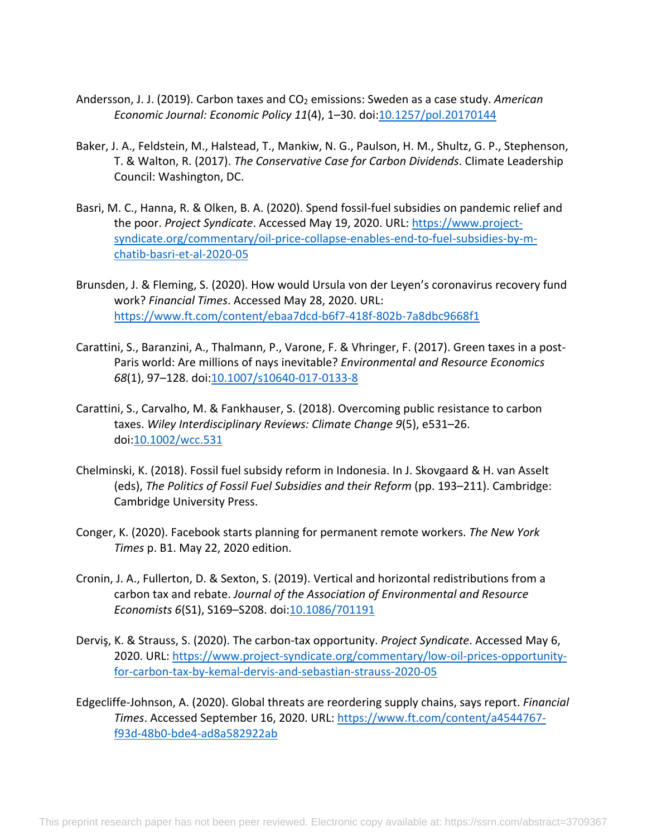- Andersson, J. J. (2019). Carbon taxes and CO<sub>2</sub> emissions: Sweden as a case study. American *Economic Journal: Economic Policy 11*(4), 1–30. doi:10.1257/pol.20170144
- Baker, J. A., Feldstein, M., Halstead, T., Mankiw, N. G., Paulson, H. M., Shultz, G. P., Stephenson, T. & Walton, R. (2017). *The Conservative Case for Carbon Dividends*. Climate Leadership Council: Washington, DC.
- Basri, M. C., Hanna, R. & Olken, B. A. (2020). Spend fossil-fuel subsidies on pandemic relief and the poor. *Project Syndicate*. Accessed May 19, 2020. URL: https://www.projectsyndicate.org/commentary/oil-price-collapse-enables-end-to-fuel-subsidies-by-mchatib-basri-et-al-2020-05
- Brunsden, J. & Fleming, S. (2020). How would Ursula von der Leyen's coronavirus recovery fund work? *Financial Times*. Accessed May 28, 2020. URL: https://www.ft.com/content/ebaa7dcd-b6f7-418f-802b-7a8dbc9668f1
- Carattini, S., Baranzini, A., Thalmann, P., Varone, F. & Vhringer, F. (2017). Green taxes in a post-Paris world: Are millions of nays inevitable? *Environmental and Resource Economics 68*(1), 97–128. doi:10.1007/s10640-017-0133-8
- Carattini, S., Carvalho, M. & Fankhauser, S. (2018). Overcoming public resistance to carbon taxes. *Wiley Interdisciplinary Reviews: Climate Change 9*(5), e531–26. doi:10.1002/wcc.531
- Chelminski, K. (2018). Fossil fuel subsidy reform in Indonesia. In J. Skovgaard & H. van Asselt (eds), *The Politics of Fossil Fuel Subsidies and their Reform* (pp. 193–211). Cambridge: Cambridge University Press.
- Conger, K. (2020). Facebook starts planning for permanent remote workers. *The New York Times* p. B1. May 22, 2020 edition.
- Cronin, J. A., Fullerton, D. & Sexton, S. (2019). Vertical and horizontal redistributions from a carbon tax and rebate. *Journal of the Association of Environmental and Resource Economists 6*(S1), S169–S208. doi:10.1086/701191
- Derviş, K. & Strauss, S. (2020). The carbon-tax opportunity. *Project Syndicate*. Accessed May 6, 2020. URL: https://www.project-syndicate.org/commentary/low-oil-prices-opportunityfor-carbon-tax-by-kemal-dervis-and-sebastian-strauss-2020-05
- Edgecliffe-Johnson, A. (2020). Global threats are reordering supply chains, says report. *Financial Times*. Accessed September 16, 2020. URL: https://www.ft.com/content/a4544767 f93d-48b0-bde4-ad8a582922ab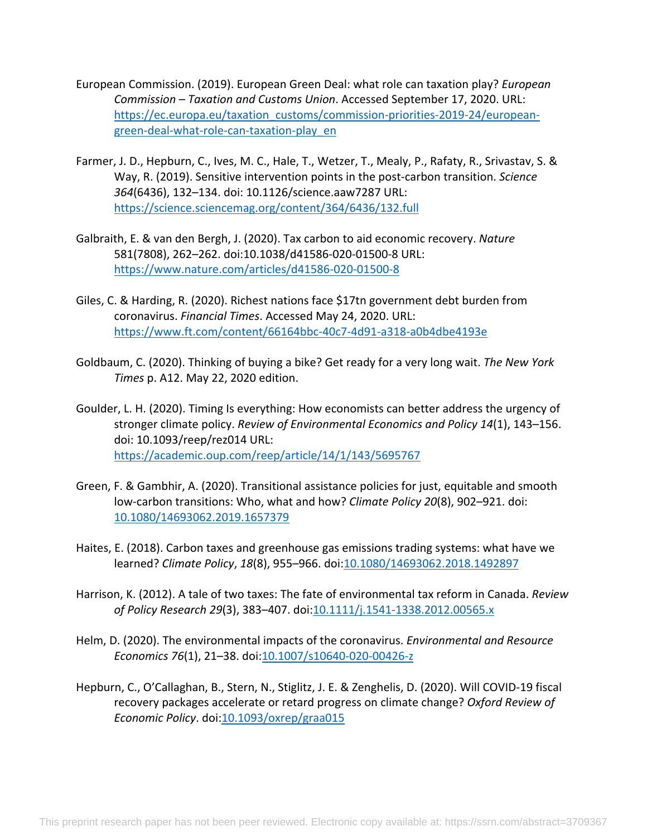- European Commission. (2019). European Green Deal: what role can taxation play? *European Commission – Taxation and Customs Union*. Accessed September 17, 2020. URL: https://ec.europa.eu/taxation\_customs/commission-priorities-2019-24/europeangreen-deal-what-role-can-taxation-play\_en
- Farmer, J. D., Hepburn, C., Ives, M. C., Hale, T., Wetzer, T., Mealy, P., Rafaty, R., Srivastav, S. & Way, R. (2019). Sensitive intervention points in the post-carbon transition. *Science 364*(6436), 132–134. doi: 10.1126/science.aaw7287 URL: https://science.sciencemag.org/content/364/6436/132.full
- Galbraith, E. & van den Bergh, J. (2020). Tax carbon to aid economic recovery. *Nature* 581(7808), 262–262. doi:10.1038/d41586-020-01500-8 URL: https://www.nature.com/articles/d41586-020-01500-8
- Giles, C. & Harding, R. (2020). Richest nations face \$17tn government debt burden from coronavirus. *Financial Times*. Accessed May 24, 2020. URL: https://www.ft.com/content/66164bbc-40c7-4d91-a318-a0b4dbe4193e
- Goldbaum, C. (2020). Thinking of buying a bike? Get ready for a very long wait. *The New York Times* p. A12. May 22, 2020 edition.
- Goulder, L. H. (2020). Timing Is everything: How economists can better address the urgency of stronger climate policy. *Review of Environmental Economics and Policy 14*(1), 143–156. doi: 10.1093/reep/rez014 URL: https://academic.oup.com/reep/article/14/1/143/5695767
- Green, F. & Gambhir, A. (2020). Transitional assistance policies for just, equitable and smooth low-carbon transitions: Who, what and how? *Climate Policy 20*(8), 902–921. doi: 10.1080/14693062.2019.1657379
- Haites, E. (2018). Carbon taxes and greenhouse gas emissions trading systems: what have we learned? *Climate Policy*, *18*(8), 955–966. doi:10.1080/14693062.2018.1492897
- Harrison, K. (2012). A tale of two taxes: The fate of environmental tax reform in Canada. *Review of Policy Research 29*(3), 383–407. doi:10.1111/j.1541-1338.2012.00565.x
- Helm, D. (2020). The environmental impacts of the coronavirus. *Environmental and Resource Economics 76*(1), 21–38. doi:10.1007/s10640-020-00426-z
- Hepburn, C., O'Callaghan, B., Stern, N., Stiglitz, J. E. & Zenghelis, D. (2020). Will COVID-19 fiscal recovery packages accelerate or retard progress on climate change? *Oxford Review of Economic Policy*. doi:10.1093/oxrep/graa015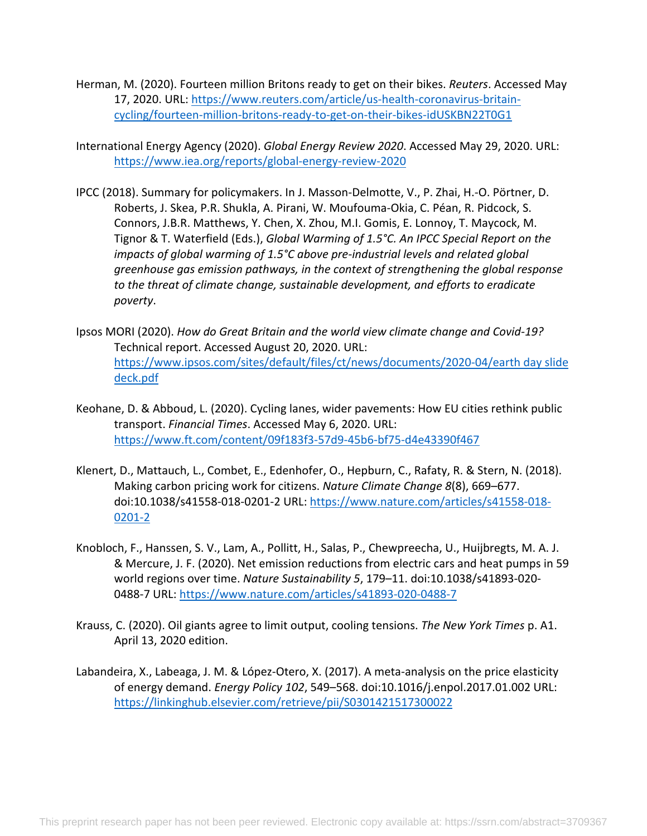- Herman, M. (2020). Fourteen million Britons ready to get on their bikes. *Reuters*. Accessed May 17, 2020. URL: https://www.reuters.com/article/us-health-coronavirus-britaincycling/fourteen-million-britons-ready-to-get-on-their-bikes-idUSKBN22T0G1
- International Energy Agency (2020). *Global Energy Review 2020*. Accessed May 29, 2020. URL: https://www.iea.org/reports/global-energy-review-2020
- IPCC (2018). Summary for policymakers. In J. Masson-Delmotte, V., P. Zhai, H.-O. Pörtner, D. Roberts, J. Skea, P.R. Shukla, A. Pirani, W. Moufouma-Okia, C. Péan, R. Pidcock, S. Connors, J.B.R. Matthews, Y. Chen, X. Zhou, M.I. Gomis, E. Lonnoy, T. Maycock, M. Tignor & T. Waterfield (Eds.), *Global Warming of 1.5°C. An IPCC Special Report on the impacts of global warming of 1.5°C above pre-industrial levels and related global greenhouse gas emission pathways, in the context of strengthening the global response to the threat of climate change, sustainable development, and efforts to eradicate poverty*.
- Ipsos MORI (2020). *How do Great Britain and the world view climate change and Covid-19?* Technical report. Accessed August 20, 2020. URL: https://www.ipsos.com/sites/default/files/ct/news/documents/2020-04/earth day slide deck.pdf
- Keohane, D. & Abboud, L. (2020). Cycling lanes, wider pavements: How EU cities rethink public transport. *Financial Times*. Accessed May 6, 2020. URL: https://www.ft.com/content/09f183f3-57d9-45b6-bf75-d4e43390f467
- Klenert, D., Mattauch, L., Combet, E., Edenhofer, O., Hepburn, C., Rafaty, R. & Stern, N. (2018). Making carbon pricing work for citizens. *Nature Climate Change 8*(8), 669–677. doi:10.1038/s41558-018-0201-2 URL: https://www.nature.com/articles/s41558-018- 0201-2
- Knobloch, F., Hanssen, S. V., Lam, A., Pollitt, H., Salas, P., Chewpreecha, U., Huijbregts, M. A. J. & Mercure, J. F. (2020). Net emission reductions from electric cars and heat pumps in 59 world regions over time. *Nature Sustainability 5*, 179–11. doi:10.1038/s41893-020- 0488-7 URL: https://www.nature.com/articles/s41893-020-0488-7
- Krauss, C. (2020). Oil giants agree to limit output, cooling tensions. *The New York Times* p. A1. April 13, 2020 edition.
- Labandeira, X., Labeaga, J. M. & López-Otero, X. (2017). A meta-analysis on the price elasticity of energy demand. *Energy Policy 102*, 549–568. doi:10.1016/j.enpol.2017.01.002 URL: https://linkinghub.elsevier.com/retrieve/pii/S0301421517300022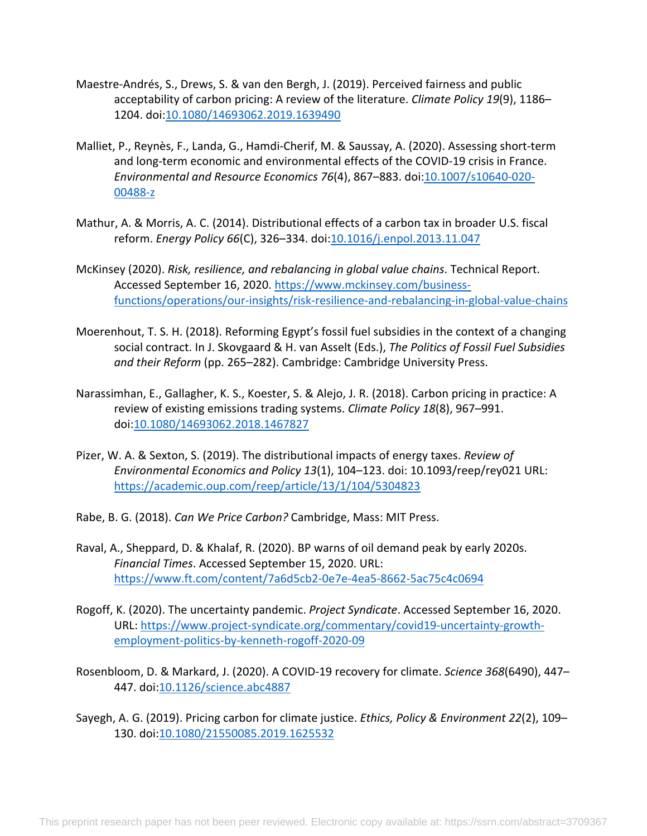- Maestre-Andrés, S., Drews, S. & van den Bergh, J. (2019). Perceived fairness and public acceptability of carbon pricing: A review of the literature. *Climate Policy 19*(9), 1186– 1204. doi:10.1080/14693062.2019.1639490
- Malliet, P., Reynès, F., Landa, G., Hamdi-Cherif, M. & Saussay, A. (2020). Assessing short-term and long-term economic and environmental effects of the COVID-19 crisis in France. *Environmental and Resource Economics 76*(4), 867–883. doi:10.1007/s10640-020- 00488-z
- Mathur, A. & Morris, A. C. (2014). Distributional effects of a carbon tax in broader U.S. fiscal reform. *Energy Policy 66*(C), 326–334. doi:10.1016/j.enpol.2013.11.047
- McKinsey (2020). *Risk, resilience, and rebalancing in global value chains*. Technical Report. Accessed September 16, 2020. https://www.mckinsey.com/businessfunctions/operations/our-insights/risk-resilience-and-rebalancing-in-global-value-chains
- Moerenhout, T. S. H. (2018). Reforming Egypt's fossil fuel subsidies in the context of a changing social contract. In J. Skovgaard & H. van Asselt (Eds.), *The Politics of Fossil Fuel Subsidies and their Reform* (pp. 265–282). Cambridge: Cambridge University Press.
- Narassimhan, E., Gallagher, K. S., Koester, S. & Alejo, J. R. (2018). Carbon pricing in practice: A review of existing emissions trading systems. *Climate Policy 18*(8), 967–991. doi:10.1080/14693062.2018.1467827
- Pizer, W. A. & Sexton, S. (2019). The distributional impacts of energy taxes. *Review of Environmental Economics and Policy 13*(1), 104–123. doi: 10.1093/reep/rey021 URL: https://academic.oup.com/reep/article/13/1/104/5304823
- Rabe, B. G. (2018). *Can We Price Carbon?* Cambridge, Mass: MIT Press.
- Raval, A., Sheppard, D. & Khalaf, R. (2020). BP warns of oil demand peak by early 2020s. *Financial Times*. Accessed September 15, 2020. URL: https://www.ft.com/content/7a6d5cb2-0e7e-4ea5-8662-5ac75c4c0694
- Rogoff, K. (2020). The uncertainty pandemic. *Project Syndicate*. Accessed September 16, 2020. URL: https://www.project-syndicate.org/commentary/covid19-uncertainty-growthemployment-politics-by-kenneth-rogoff-2020-09
- Rosenbloom, D. & Markard, J. (2020). A COVID-19 recovery for climate. *Science 368*(6490), 447– 447. doi:10.1126/science.abc4887
- Sayegh, A. G. (2019). Pricing carbon for climate justice. *Ethics, Policy & Environment 22*(2), 109– 130. doi:10.1080/21550085.2019.1625532